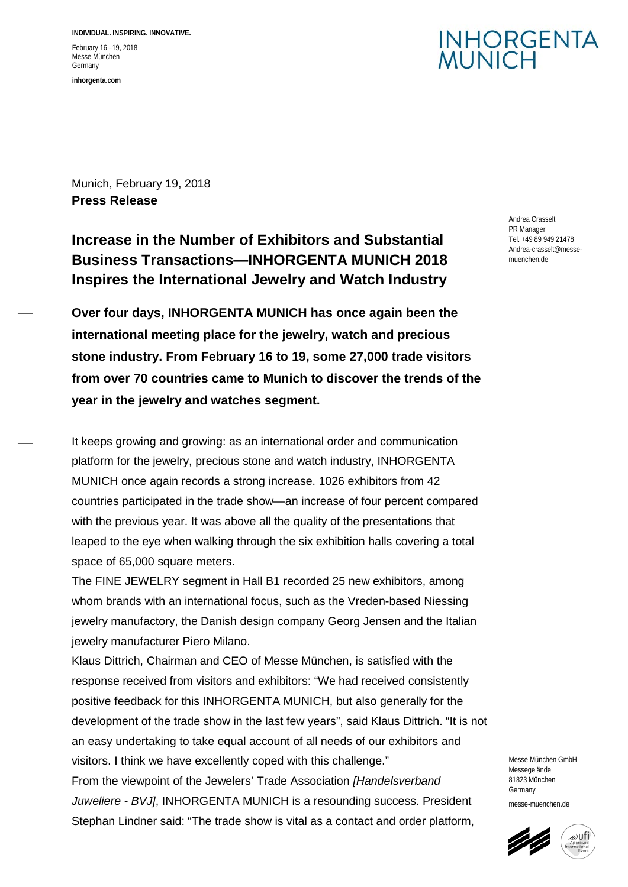**INDIVIDUAL. INSPIRING. INNOVATIVE.** February 16 –19, 2018 Messe München Germany **inhorgenta.com**

### **INHORGENTA IUNICH**

Munich, February 19, 2018 **Press Release**

**Increase in the Number of Exhibitors and Substantial Business Transactions—INHORGENTA MUNICH 2018 Inspires the International Jewelry and Watch Industry**

**Over four days, INHORGENTA MUNICH has once again been the international meeting place for the jewelry, watch and precious stone industry. From February 16 to 19, some 27,000 trade visitors from over 70 countries came to Munich to discover the trends of the year in the jewelry and watches segment.**

It keeps growing and growing: as an international order and communication platform for the jewelry, precious stone and watch industry, INHORGENTA MUNICH once again records a strong increase. 1026 exhibitors from 42 countries participated in the trade show—an increase of four percent compared with the previous year. It was above all the quality of the presentations that leaped to the eye when walking through the six exhibition halls covering a total space of 65,000 square meters.

The FINE JEWELRY segment in Hall B1 recorded 25 new exhibitors, among whom brands with an international focus, such as the Vreden-based Niessing jewelry manufactory, the Danish design company Georg Jensen and the Italian jewelry manufacturer Piero Milano.

Klaus Dittrich, Chairman and CEO of Messe München, is satisfied with the response received from visitors and exhibitors: "We had received consistently positive feedback for this INHORGENTA MUNICH, but also generally for the development of the trade show in the last few years", said Klaus Dittrich. "It is not an easy undertaking to take equal account of all needs of our exhibitors and visitors. I think we have excellently coped with this challenge." From the viewpoint of the Jewelers' Trade Association *[Handelsverband Juweliere - BVJ]*, INHORGENTA MUNICH is a resounding success. President

Stephan Lindner said: "The trade show is vital as a contact and order platform,

Andrea Crasselt PR Manager Tel. +49 89 949 21478 Andrea-crasselt@messemuenchen.de

Messe München GmbH Messegelände 81823 München Germany messe-muenchen.de

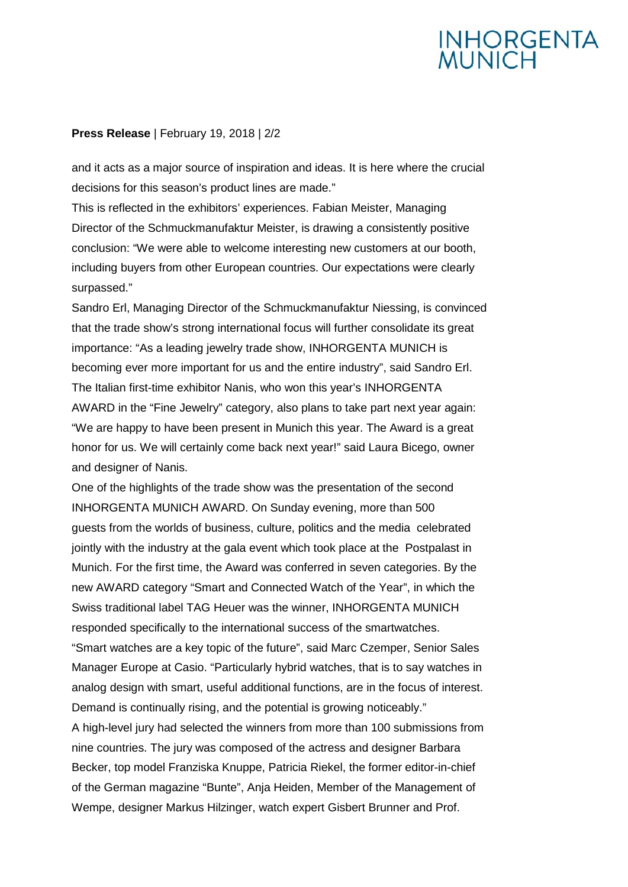# **INHORGENTA**<br>MUNICH

#### **Press Release** | February 19, 2018 | 2/2

and it acts as a major source of inspiration and ideas. It is here where the crucial decisions for this season's product lines are made."

This is reflected in the exhibitors' experiences. Fabian Meister, Managing Director of the Schmuckmanufaktur Meister, is drawing a consistently positive conclusion: "We were able to welcome interesting new customers at our booth, including buyers from other European countries. Our expectations were clearly surpassed."

Sandro Erl, Managing Director of the Schmuckmanufaktur Niessing, is convinced that the trade show's strong international focus will further consolidate its great importance: "As a leading jewelry trade show, INHORGENTA MUNICH is becoming ever more important for us and the entire industry", said Sandro Erl. The Italian first-time exhibitor Nanis, who won this year's INHORGENTA AWARD in the "Fine Jewelry" category, also plans to take part next year again: "We are happy to have been present in Munich this year. The Award is a great honor for us. We will certainly come back next year!" said Laura Bicego, owner and designer of Nanis.

One of the highlights of the trade show was the presentation of the second INHORGENTA MUNICH AWARD. On Sunday evening, more than 500 guests from the worlds of business, culture, politics and the media celebrated jointly with the industry at the gala event which took place at the Postpalast in Munich. For the first time, the Award was conferred in seven categories. By the new AWARD category "Smart and Connected Watch of the Year", in which the Swiss traditional label TAG Heuer was the winner, INHORGENTA MUNICH responded specifically to the international success of the smartwatches.

"Smart watches are a key topic of the future", said Marc Czemper, Senior Sales Manager Europe at Casio. "Particularly hybrid watches, that is to say watches in analog design with smart, useful additional functions, are in the focus of interest. Demand is continually rising, and the potential is growing noticeably."

A high-level jury had selected the winners from more than 100 submissions from nine countries. The jury was composed of the actress and designer Barbara Becker, top model Franziska Knuppe, Patricia Riekel, the former editor-in-chief of the German magazine "Bunte", Anja Heiden, Member of the Management of Wempe, designer Markus Hilzinger, watch expert Gisbert Brunner and Prof.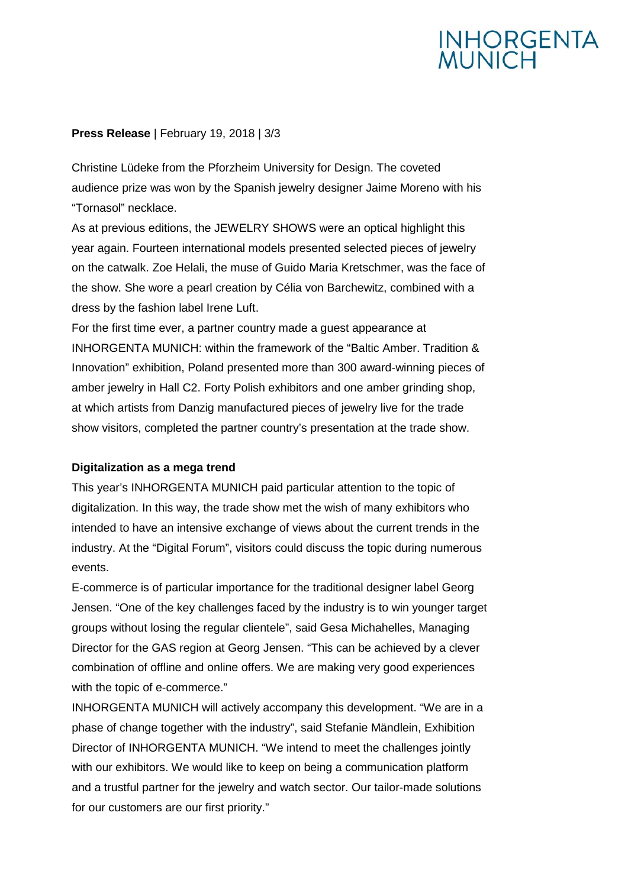# **INHORGENTA**<br>MUNICH

### **Press Release** | February 19, 2018 | 3/3

Christine Lüdeke from the Pforzheim University for Design. The coveted audience prize was won by the Spanish jewelry designer Jaime Moreno with his "Tornasol" necklace.

As at previous editions, the JEWELRY SHOWS were an optical highlight this year again. Fourteen international models presented selected pieces of jewelry on the catwalk. Zoe Helali, the muse of Guido Maria Kretschmer, was the face of the show. She wore a pearl creation by Célia von Barchewitz, combined with a dress by the fashion label Irene Luft.

For the first time ever, a partner country made a guest appearance at INHORGENTA MUNICH: within the framework of the "Baltic Amber. Tradition & Innovation" exhibition, Poland presented more than 300 award-winning pieces of amber jewelry in Hall C2. Forty Polish exhibitors and one amber grinding shop, at which artists from Danzig manufactured pieces of jewelry live for the trade show visitors, completed the partner country's presentation at the trade show.

#### **Digitalization as a mega trend**

This year's INHORGENTA MUNICH paid particular attention to the topic of digitalization. In this way, the trade show met the wish of many exhibitors who intended to have an intensive exchange of views about the current trends in the industry. At the "Digital Forum", visitors could discuss the topic during numerous events.

E-commerce is of particular importance for the traditional designer label Georg Jensen. "One of the key challenges faced by the industry is to win younger target groups without losing the regular clientele", said Gesa Michahelles, Managing Director for the GAS region at Georg Jensen. "This can be achieved by a clever combination of offline and online offers. We are making very good experiences with the topic of e-commerce."

INHORGENTA MUNICH will actively accompany this development. "We are in a phase of change together with the industry", said Stefanie Mändlein, Exhibition Director of INHORGENTA MUNICH. "We intend to meet the challenges jointly with our exhibitors. We would like to keep on being a communication platform and a trustful partner for the jewelry and watch sector. Our tailor-made solutions for our customers are our first priority."